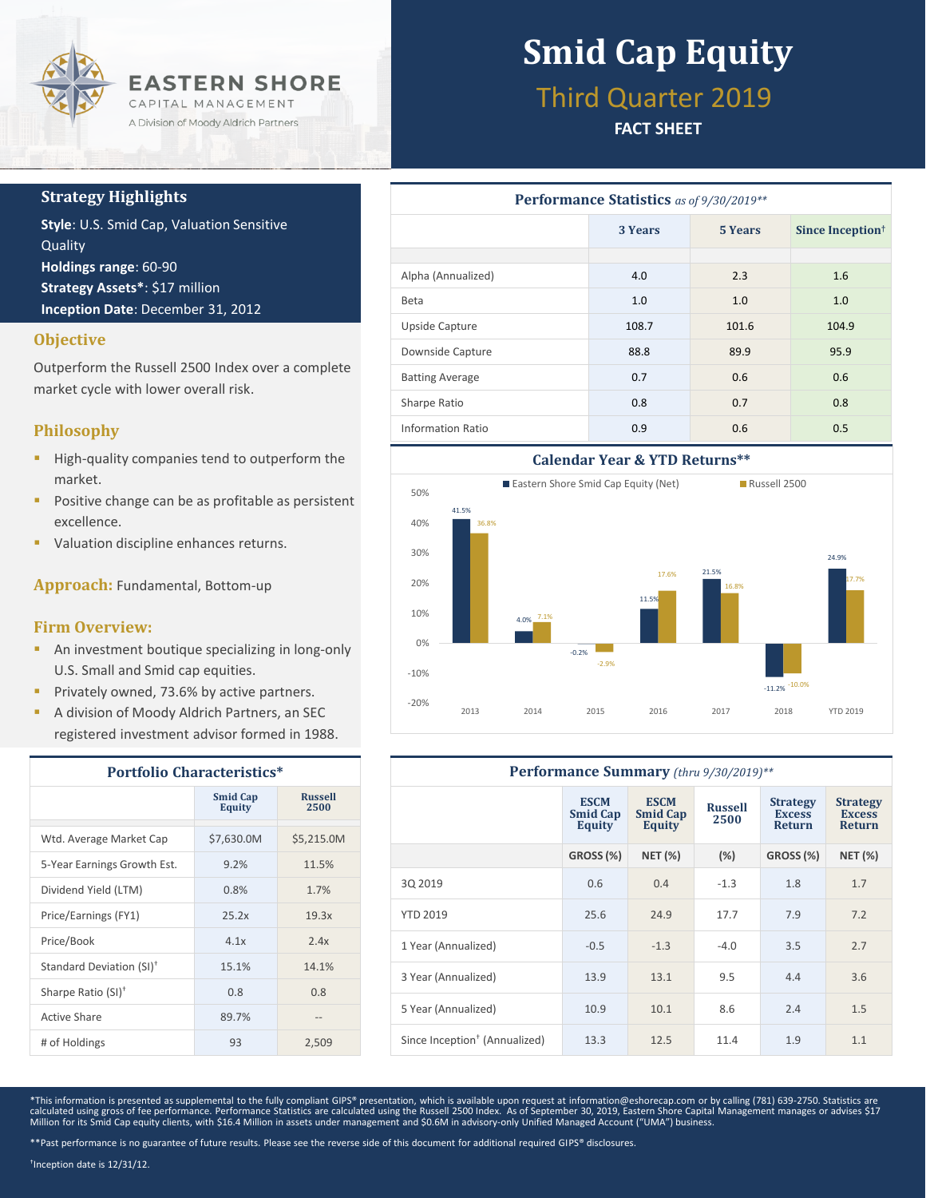

### **Strategy Highlights**

**Style**: U.S. Smid Cap, Valuation Sensitive Quality **Holdings range**: 60-90 **Strategy Assets\***: \$17 million **Inception Date**: December 31, 2012

### **Objective**

Outperform the Russell 2500 Index over a complete market cycle with lower overall risk.

### **Philosophy**

- **High-quality companies tend to outperform the** market.
- **Positive change can be as profitable as persistent** excellence.
- **Valuation discipline enhances returns.**

**Approach:** Fundamental, Bottom-up

### **Firm Overview:**

- **An investment boutique specializing in long-only** U.S. Small and Smid cap equities.
- **Privately owned, 73.6% by active partners.**
- A division of Moody Aldrich Partners, an SEC registered investment advisor formed in 1988.

| <b>Portfolio Characteristics*</b>    |                                  |                        |  |  |
|--------------------------------------|----------------------------------|------------------------|--|--|
|                                      | <b>Smid Cap</b><br><b>Equity</b> | <b>Russell</b><br>2500 |  |  |
| Wtd. Average Market Cap              | \$7,630.0M                       | \$5.215.0M             |  |  |
| 5-Year Earnings Growth Est.          | 9.2%                             | 11.5%                  |  |  |
| Dividend Yield (LTM)                 | 0.8%                             | 1.7%                   |  |  |
| Price/Earnings (FY1)                 | 25.2x                            | 19.3x                  |  |  |
| Price/Book                           | 4.1x                             | 2.4x                   |  |  |
| Standard Deviation (SI) <sup>†</sup> | 15.1%                            | 14.1%                  |  |  |
| Sharpe Ratio (SI) <sup>+</sup>       | 0.8                              | 0.8                    |  |  |
| Active Share                         | 89.7%                            |                        |  |  |
| # of Holdings                        | 93                               | 2,509                  |  |  |

# **Smid Cap Equity**

## Third Quarter 2019

### **FACT SHEET**

| <b>Performance Statistics</b> as of 9/30/2019** |         |         |                              |  |  |  |
|-------------------------------------------------|---------|---------|------------------------------|--|--|--|
|                                                 | 3 Years | 5 Years | Since Inception <sup>†</sup> |  |  |  |
|                                                 |         |         |                              |  |  |  |
| Alpha (Annualized)                              | 4.0     | 2.3     | 1.6                          |  |  |  |
| <b>Beta</b>                                     | 1.0     | 1.0     | 1.0                          |  |  |  |
| Upside Capture                                  | 108.7   | 101.6   | 104.9                        |  |  |  |
| Downside Capture                                | 88.8    | 89.9    | 95.9                         |  |  |  |
| <b>Batting Average</b>                          | 0.7     | 0.6     | 0.6                          |  |  |  |
| Sharpe Ratio                                    | 0.8     | 0.7     | 0.8                          |  |  |  |
| Information Ratio                               | 0.9     | 0.6     | 0.5                          |  |  |  |



| Performance Summary (thru 9/30/2019)**    |                                          |                                          |                        |                                                   |                                                   |  |
|-------------------------------------------|------------------------------------------|------------------------------------------|------------------------|---------------------------------------------------|---------------------------------------------------|--|
|                                           | <b>ESCM</b><br><b>Smid Cap</b><br>Equity | <b>ESCM</b><br><b>Smid Cap</b><br>Equity | <b>Russell</b><br>2500 | <b>Strategy</b><br><b>Excess</b><br><b>Return</b> | <b>Strategy</b><br><b>Excess</b><br><b>Return</b> |  |
|                                           | <b>GROSS (%)</b>                         | <b>NET (%)</b>                           | (%)                    | GROSS (%)                                         | <b>NET (%)</b>                                    |  |
| 30 2019                                   | 0.6                                      | 0.4                                      | $-1.3$                 | 1.8                                               | 1.7                                               |  |
| <b>YTD 2019</b>                           | 25.6                                     | 24.9                                     | 17.7                   | 7.9                                               | 7.2                                               |  |
| 1 Year (Annualized)                       | $-0.5$                                   | $-1.3$                                   | $-4.0$                 | 3.5                                               | 2.7                                               |  |
| 3 Year (Annualized)                       | 13.9                                     | 13.1                                     | 9.5                    | 4.4                                               | 3.6                                               |  |
| 5 Year (Annualized)                       | 10.9                                     | 10.1                                     | 8.6                    | 2.4                                               | 1.5                                               |  |
| Since Inception <sup>†</sup> (Annualized) | 13.3                                     | 12.5                                     | 11.4                   | 1.9                                               | 1.1                                               |  |

\*This information is presented as supplemental to the fully compliant GIPS® presentation, which is available upon request at information@eshorecap.com or by calling (781) 639-2750. Statistics are calculated using gross of fee performance. Performance Statistics are calculated using the Russell 2500 Index. As of September 30, 2019, Eastern Shore Capital Management manages or advises \$17<br>Million for its Smid Cap equi

† Inception date is 12/31/12.